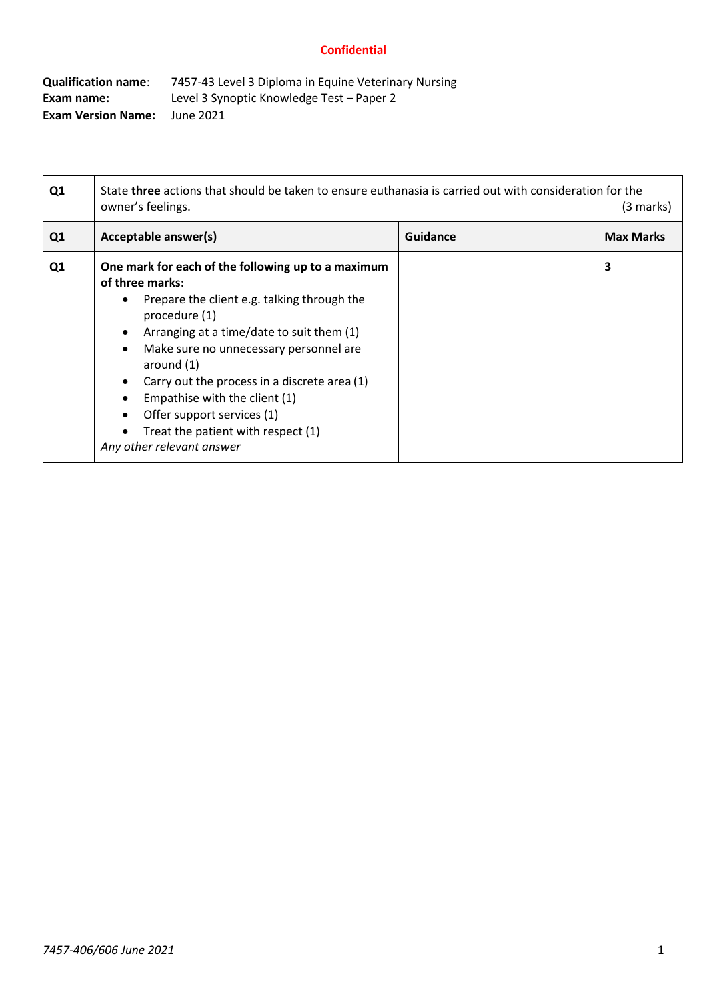| <b>Qualification name:</b> | 7457-43 Level 3 Diploma in Equine Veterinary Nursing |
|----------------------------|------------------------------------------------------|
| Exam name:                 | Level 3 Synoptic Knowledge Test – Paper 2            |
| <b>Exam Version Name:</b>  | June 2021                                            |

| Q1             | State <b>three</b> actions that should be taken to ensure euthanasia is carried out with consideration for the<br>owner's feelings.<br>(3 marks)                                                                                                                                                                                                                                                                                                         |                 |                  |
|----------------|----------------------------------------------------------------------------------------------------------------------------------------------------------------------------------------------------------------------------------------------------------------------------------------------------------------------------------------------------------------------------------------------------------------------------------------------------------|-----------------|------------------|
| Q <sub>1</sub> | Acceptable answer(s)                                                                                                                                                                                                                                                                                                                                                                                                                                     | <b>Guidance</b> | <b>Max Marks</b> |
| Q1             | One mark for each of the following up to a maximum<br>of three marks:<br>Prepare the client e.g. talking through the<br>$\bullet$<br>procedure (1)<br>Arranging at a time/date to suit them (1)<br>Make sure no unnecessary personnel are<br>$\bullet$<br>around $(1)$<br>Carry out the process in a discrete area (1)<br>Empathise with the client (1)<br>Offer support services (1)<br>Treat the patient with respect (1)<br>Any other relevant answer |                 | 3                |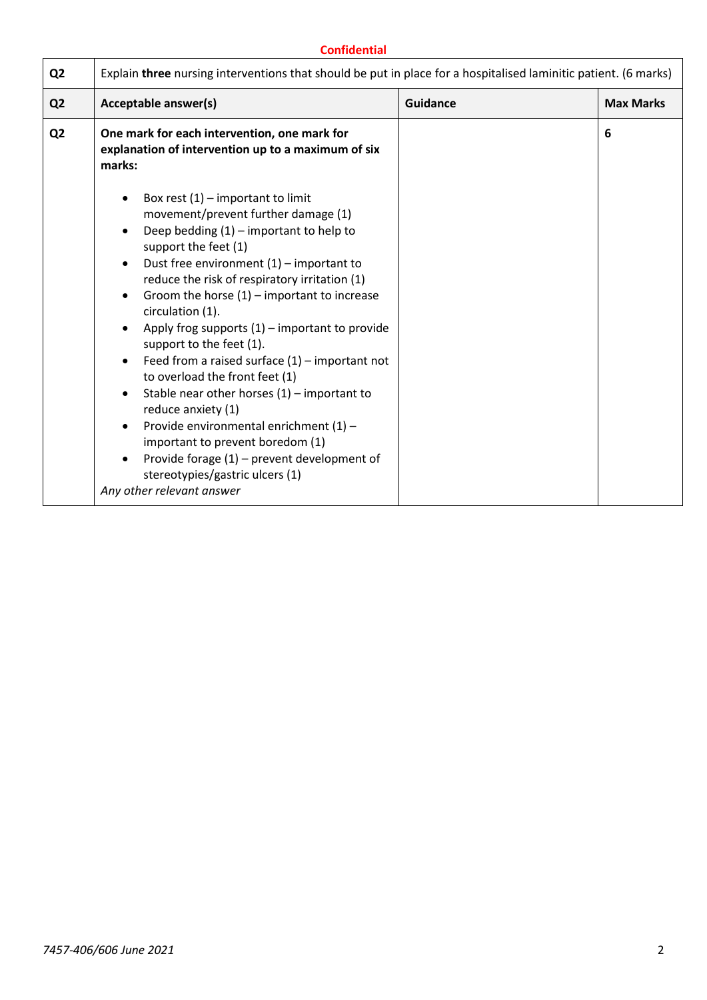| Q <sub>2</sub> | Explain three nursing interventions that should be put in place for a hospitalised laminitic patient. (6 marks)                                                                                                                                                                                                                                                                                                                                                                                                                                                                                                                                                                                                                                                                                                                                                                      |                 |                  |
|----------------|--------------------------------------------------------------------------------------------------------------------------------------------------------------------------------------------------------------------------------------------------------------------------------------------------------------------------------------------------------------------------------------------------------------------------------------------------------------------------------------------------------------------------------------------------------------------------------------------------------------------------------------------------------------------------------------------------------------------------------------------------------------------------------------------------------------------------------------------------------------------------------------|-----------------|------------------|
| Q <sub>2</sub> | Acceptable answer(s)                                                                                                                                                                                                                                                                                                                                                                                                                                                                                                                                                                                                                                                                                                                                                                                                                                                                 | <b>Guidance</b> | <b>Max Marks</b> |
| Q <sub>2</sub> | One mark for each intervention, one mark for<br>explanation of intervention up to a maximum of six<br>marks:                                                                                                                                                                                                                                                                                                                                                                                                                                                                                                                                                                                                                                                                                                                                                                         |                 | 6                |
|                | Box rest $(1)$ – important to limit<br>$\bullet$<br>movement/prevent further damage (1)<br>Deep bedding $(1)$ – important to help to<br>$\bullet$<br>support the feet (1)<br>Dust free environment $(1)$ – important to<br>$\bullet$<br>reduce the risk of respiratory irritation (1)<br>Groom the horse $(1)$ – important to increase<br>$\bullet$<br>circulation (1).<br>Apply frog supports $(1)$ – important to provide<br>$\bullet$<br>support to the feet (1).<br>Feed from a raised surface $(1)$ – important not<br>$\bullet$<br>to overload the front feet (1)<br>Stable near other horses $(1)$ – important to<br>$\bullet$<br>reduce anxiety (1)<br>Provide environmental enrichment (1) -<br>$\bullet$<br>important to prevent boredom (1)<br>Provide forage $(1)$ – prevent development of<br>$\bullet$<br>stereotypies/gastric ulcers (1)<br>Any other relevant answer |                 |                  |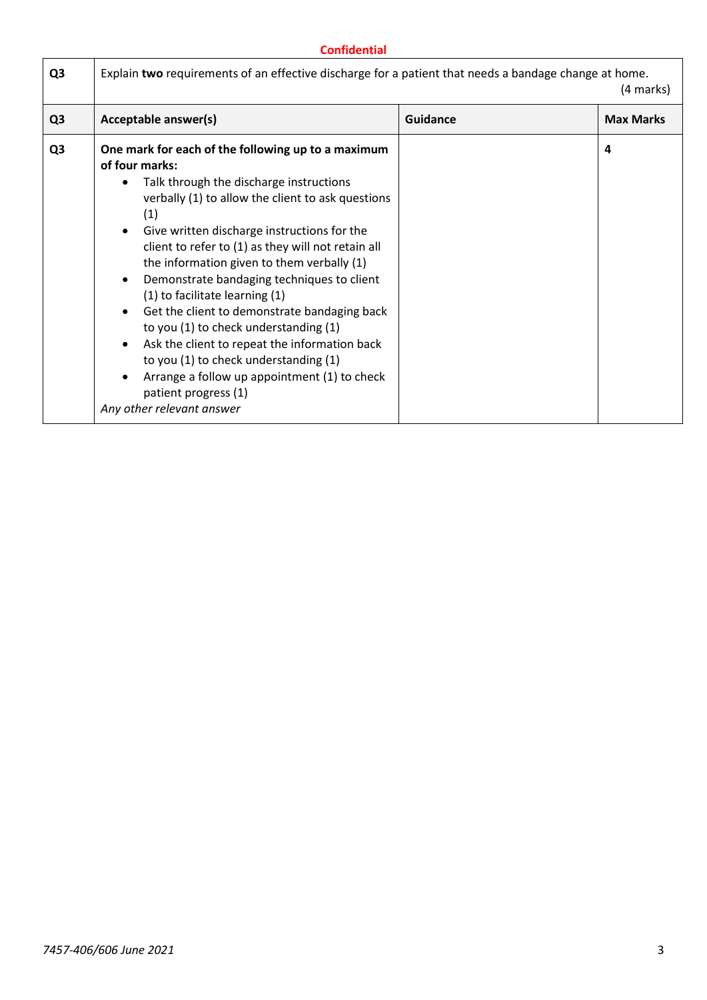| Q <sub>3</sub> | Acceptable answer(s)                                                                                                                                                                                                                                                                                                                                                                                                                                                                                                                                                                                                                                                                                   | <b>Guidance</b> | <b>Max Marks</b> |
|----------------|--------------------------------------------------------------------------------------------------------------------------------------------------------------------------------------------------------------------------------------------------------------------------------------------------------------------------------------------------------------------------------------------------------------------------------------------------------------------------------------------------------------------------------------------------------------------------------------------------------------------------------------------------------------------------------------------------------|-----------------|------------------|
| Q <sub>3</sub> | One mark for each of the following up to a maximum<br>of four marks:<br>Talk through the discharge instructions<br>verbally (1) to allow the client to ask questions<br>(1)<br>Give written discharge instructions for the<br>client to refer to (1) as they will not retain all<br>the information given to them verbally (1)<br>Demonstrate bandaging techniques to client<br>(1) to facilitate learning (1)<br>Get the client to demonstrate bandaging back<br>to you (1) to check understanding (1)<br>Ask the client to repeat the information back<br>to you (1) to check understanding (1)<br>Arrange a follow up appointment (1) to check<br>patient progress (1)<br>Any other relevant answer |                 | 4                |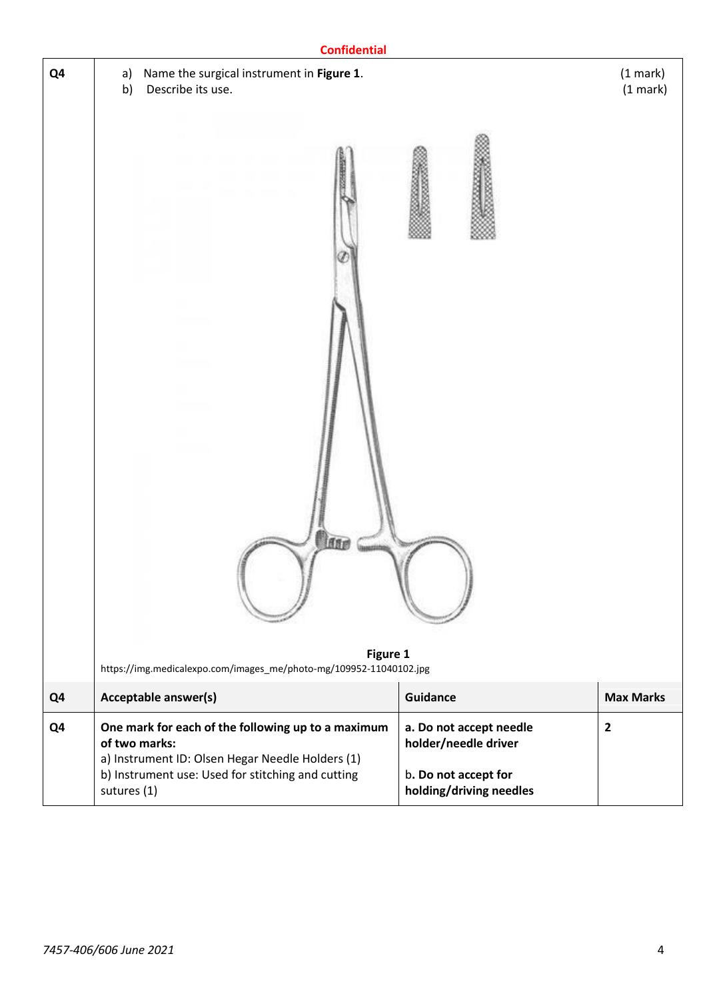|    | <b>Confidential</b>                                                                                                                   |                                                                         |                           |
|----|---------------------------------------------------------------------------------------------------------------------------------------|-------------------------------------------------------------------------|---------------------------|
| Q4 | Name the surgical instrument in Figure 1.<br>a)<br>Describe its use.<br>b)<br><b>Ase</b>                                              |                                                                         | $(1$ mark $)$<br>(1 mark) |
| Q4 | Figure 1<br>https://img.medicalexpo.com/images_me/photo-mg/109952-11040102.jpg<br><b>Acceptable answer(s)</b>                         | Guidance                                                                | <b>Max Marks</b>          |
| Q4 | One mark for each of the following up to a maximum                                                                                    | a. Do not accept needle                                                 | $\overline{2}$            |
|    | of two marks:<br>a) Instrument ID: Olsen Hegar Needle Holders (1)<br>b) Instrument use: Used for stitching and cutting<br>sutures (1) | holder/needle driver<br>b. Do not accept for<br>holding/driving needles |                           |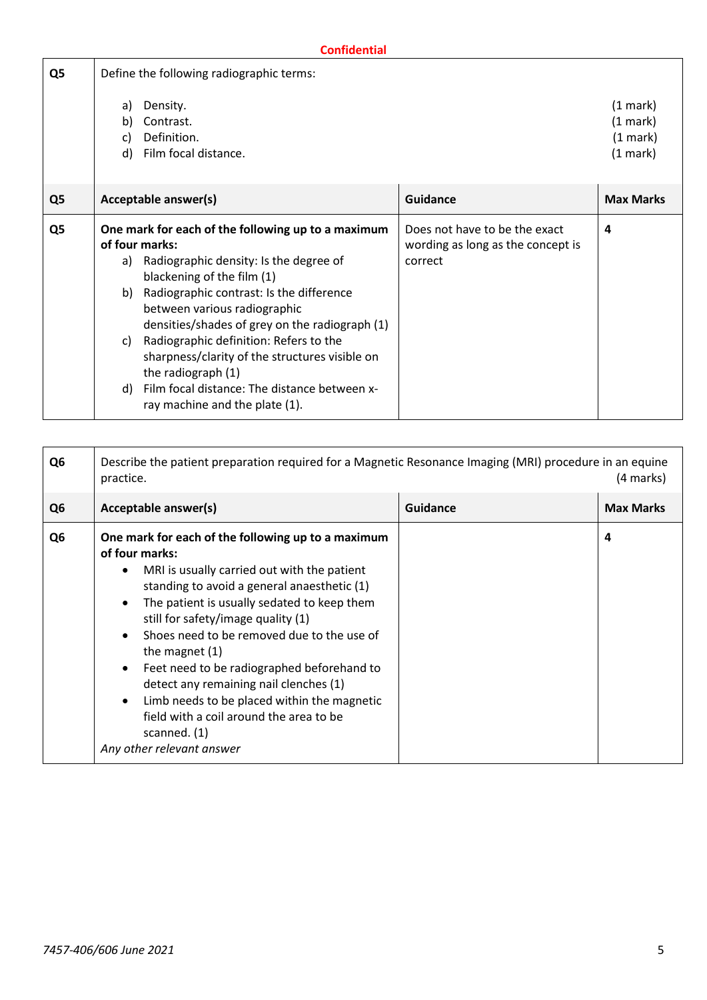| Q5             | Define the following radiographic terms:                                                                                                                                                                                                                                                                                                                                                                                                                                                               |                                                                               |                                                        |
|----------------|--------------------------------------------------------------------------------------------------------------------------------------------------------------------------------------------------------------------------------------------------------------------------------------------------------------------------------------------------------------------------------------------------------------------------------------------------------------------------------------------------------|-------------------------------------------------------------------------------|--------------------------------------------------------|
|                | Density.<br>a)<br>Contrast.<br>b)<br>Definition.<br>C)<br>Film focal distance.<br>d)                                                                                                                                                                                                                                                                                                                                                                                                                   |                                                                               | $(1 \text{ mark})$<br>(1 mark)<br>(1 mark)<br>(1 mark) |
| Q <sub>5</sub> | Acceptable answer(s)                                                                                                                                                                                                                                                                                                                                                                                                                                                                                   | <b>Guidance</b>                                                               | <b>Max Marks</b>                                       |
| Q5             | One mark for each of the following up to a maximum<br>of four marks:<br>Radiographic density: Is the degree of<br>a)<br>blackening of the film (1)<br>Radiographic contrast: Is the difference<br>b)<br>between various radiographic<br>densities/shades of grey on the radiograph (1)<br>Radiographic definition: Refers to the<br>C)<br>sharpness/clarity of the structures visible on<br>the radiograph (1)<br>Film focal distance: The distance between x-<br>d)<br>ray machine and the plate (1). | Does not have to be the exact<br>wording as long as the concept is<br>correct | 4                                                      |

| Q <sub>6</sub> | Describe the patient preparation required for a Magnetic Resonance Imaging (MRI) procedure in an equine<br>(4 marks)<br>practice.                                                                                                                                                                                                                                                                                                                                                                                                                          |                 |                  |
|----------------|------------------------------------------------------------------------------------------------------------------------------------------------------------------------------------------------------------------------------------------------------------------------------------------------------------------------------------------------------------------------------------------------------------------------------------------------------------------------------------------------------------------------------------------------------------|-----------------|------------------|
| Q <sub>6</sub> | Acceptable answer(s)                                                                                                                                                                                                                                                                                                                                                                                                                                                                                                                                       | <b>Guidance</b> | <b>Max Marks</b> |
| Q <sub>6</sub> | One mark for each of the following up to a maximum<br>of four marks:<br>MRI is usually carried out with the patient<br>standing to avoid a general anaesthetic (1)<br>The patient is usually sedated to keep them<br>still for safety/image quality (1)<br>Shoes need to be removed due to the use of<br>the magnet $(1)$<br>Feet need to be radiographed beforehand to<br>detect any remaining nail clenches (1)<br>Limb needs to be placed within the magnetic<br>field with a coil around the area to be<br>scanned. $(1)$<br>Any other relevant answer |                 | 4                |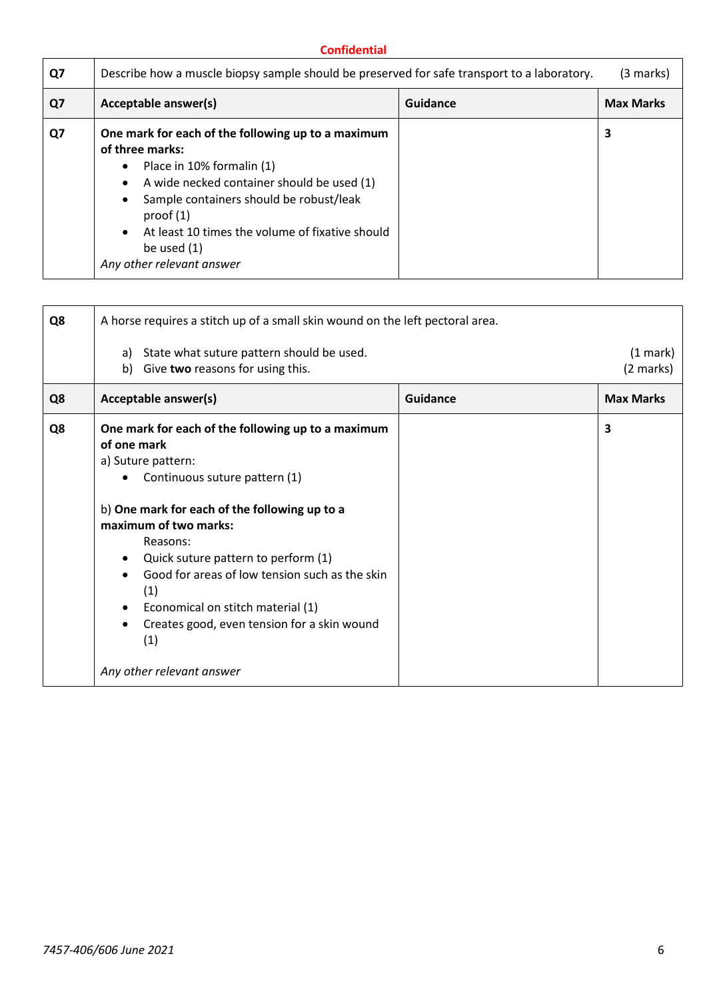| Q7 | Describe how a muscle biopsy sample should be preserved for safe transport to a laboratory.                                                                                                                                                                                                                                           |          | (3 marks)        |
|----|---------------------------------------------------------------------------------------------------------------------------------------------------------------------------------------------------------------------------------------------------------------------------------------------------------------------------------------|----------|------------------|
| Q7 | Acceptable answer(s)                                                                                                                                                                                                                                                                                                                  | Guidance | <b>Max Marks</b> |
| Q7 | One mark for each of the following up to a maximum<br>of three marks:<br>Place in 10% formalin (1)<br>$\bullet$<br>A wide necked container should be used (1)<br>$\bullet$<br>Sample containers should be robust/leak<br>proof $(1)$<br>At least 10 times the volume of fixative should<br>be used $(1)$<br>Any other relevant answer |          | 3                |

| Q8 | A horse requires a stitch up of a small skin wound on the left pectoral area.                                                                                                                                                                                                                                                                                                                                                                                                              |          |                       |
|----|--------------------------------------------------------------------------------------------------------------------------------------------------------------------------------------------------------------------------------------------------------------------------------------------------------------------------------------------------------------------------------------------------------------------------------------------------------------------------------------------|----------|-----------------------|
|    | a) State what suture pattern should be used.<br>Give two reasons for using this.<br>b)                                                                                                                                                                                                                                                                                                                                                                                                     |          | (1 mark)<br>(2 marks) |
| Q8 | Acceptable answer(s)                                                                                                                                                                                                                                                                                                                                                                                                                                                                       | Guidance | <b>Max Marks</b>      |
| Q8 | One mark for each of the following up to a maximum<br>of one mark<br>a) Suture pattern:<br>Continuous suture pattern (1)<br>b) One mark for each of the following up to a<br>maximum of two marks:<br>Reasons:<br>Quick suture pattern to perform (1)<br>$\bullet$<br>Good for areas of low tension such as the skin<br>$\bullet$<br>(1)<br>Economical on stitch material (1)<br>$\bullet$<br>Creates good, even tension for a skin wound<br>$\bullet$<br>(1)<br>Any other relevant answer |          | 3                     |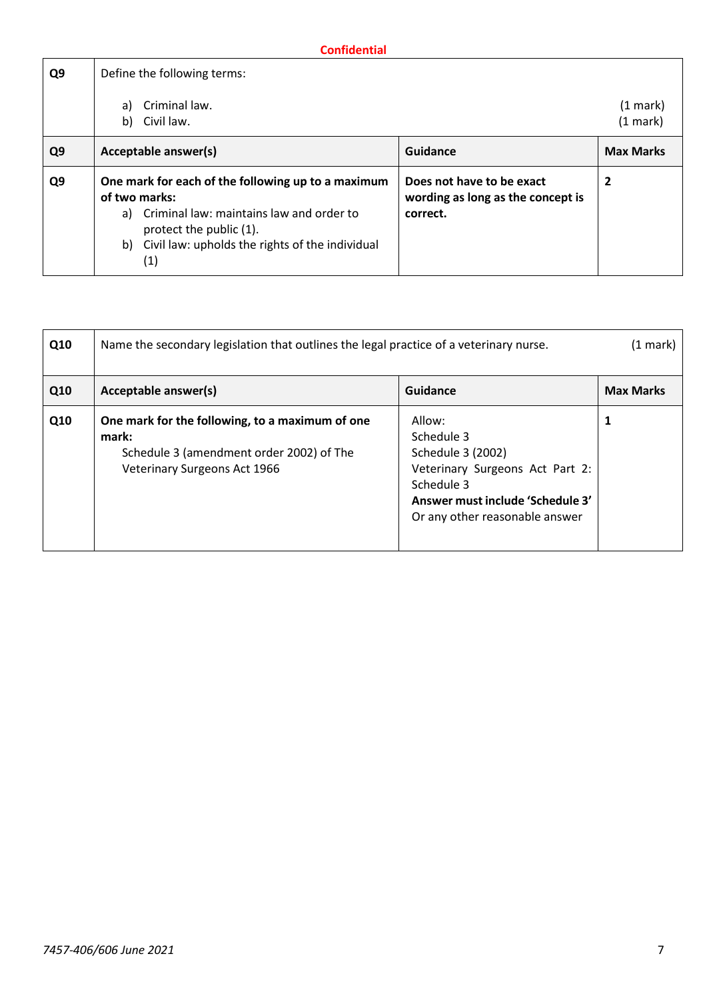| Q9             | Define the following terms:                                                                                                                                                                                |                                                                            |                        |
|----------------|------------------------------------------------------------------------------------------------------------------------------------------------------------------------------------------------------------|----------------------------------------------------------------------------|------------------------|
|                | Criminal law.<br>a)<br>Civil law.<br>b)                                                                                                                                                                    |                                                                            | $(1$ mark)<br>(1 mark) |
| Q <sub>9</sub> | Acceptable answer(s)                                                                                                                                                                                       | Guidance                                                                   | <b>Max Marks</b>       |
| Q <sub>9</sub> | One mark for each of the following up to a maximum<br>of two marks:<br>a) Criminal law: maintains law and order to<br>protect the public (1).<br>b) Civil law: upholds the rights of the individual<br>(1) | Does not have to be exact<br>wording as long as the concept is<br>correct. | 2                      |

| Q10 | Name the secondary legislation that outlines the legal practice of a veterinary nurse.                                                      |                                                                                                                                                                  | $(1$ mark $)$    |
|-----|---------------------------------------------------------------------------------------------------------------------------------------------|------------------------------------------------------------------------------------------------------------------------------------------------------------------|------------------|
| Q10 | Acceptable answer(s)                                                                                                                        | Guidance                                                                                                                                                         | <b>Max Marks</b> |
| Q10 | One mark for the following, to a maximum of one<br>mark:<br>Schedule 3 (amendment order 2002) of The<br><b>Veterinary Surgeons Act 1966</b> | Allow:<br>Schedule 3<br>Schedule 3 (2002)<br>Veterinary Surgeons Act Part 2:<br>Schedule 3<br>Answer must include 'Schedule 3'<br>Or any other reasonable answer | 1                |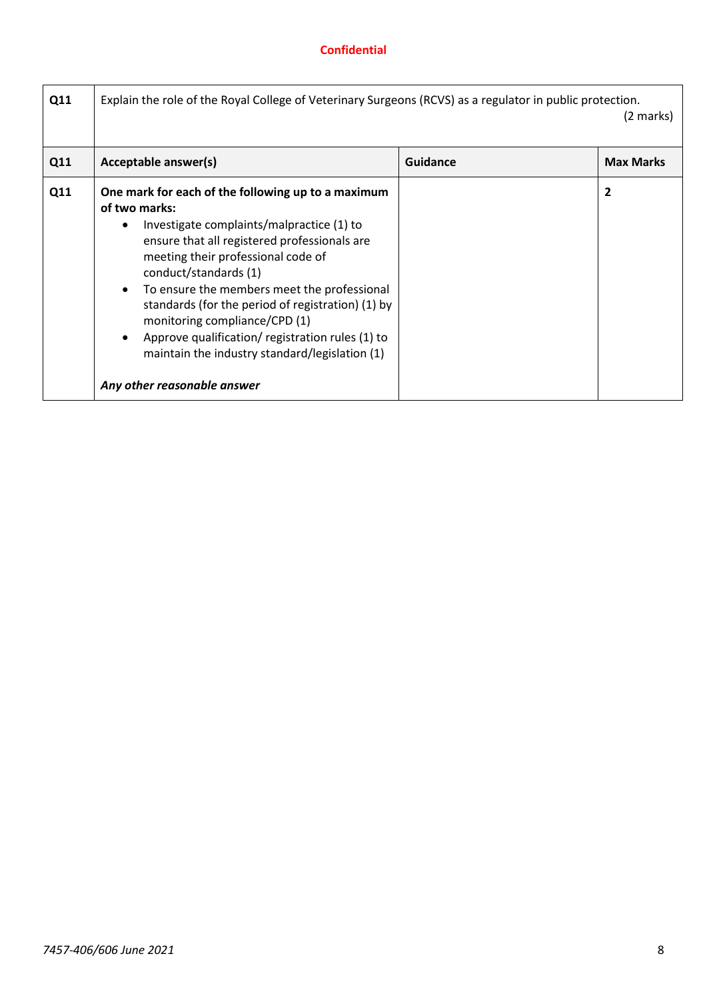| Q11 | Explain the role of the Royal College of Veterinary Surgeons (RCVS) as a regulator in public protection.                                                                                                                                                                                                                                                                                                                                                                                                                                        |                 | (2 marks)        |
|-----|-------------------------------------------------------------------------------------------------------------------------------------------------------------------------------------------------------------------------------------------------------------------------------------------------------------------------------------------------------------------------------------------------------------------------------------------------------------------------------------------------------------------------------------------------|-----------------|------------------|
| Q11 | Acceptable answer(s)                                                                                                                                                                                                                                                                                                                                                                                                                                                                                                                            | <b>Guidance</b> | <b>Max Marks</b> |
| Q11 | One mark for each of the following up to a maximum<br>of two marks:<br>Investigate complaints/malpractice (1) to<br>$\bullet$<br>ensure that all registered professionals are<br>meeting their professional code of<br>conduct/standards (1)<br>To ensure the members meet the professional<br>$\bullet$<br>standards (for the period of registration) (1) by<br>monitoring compliance/CPD (1)<br>Approve qualification/registration rules (1) to<br>$\bullet$<br>maintain the industry standard/legislation (1)<br>Any other reasonable answer |                 | 2                |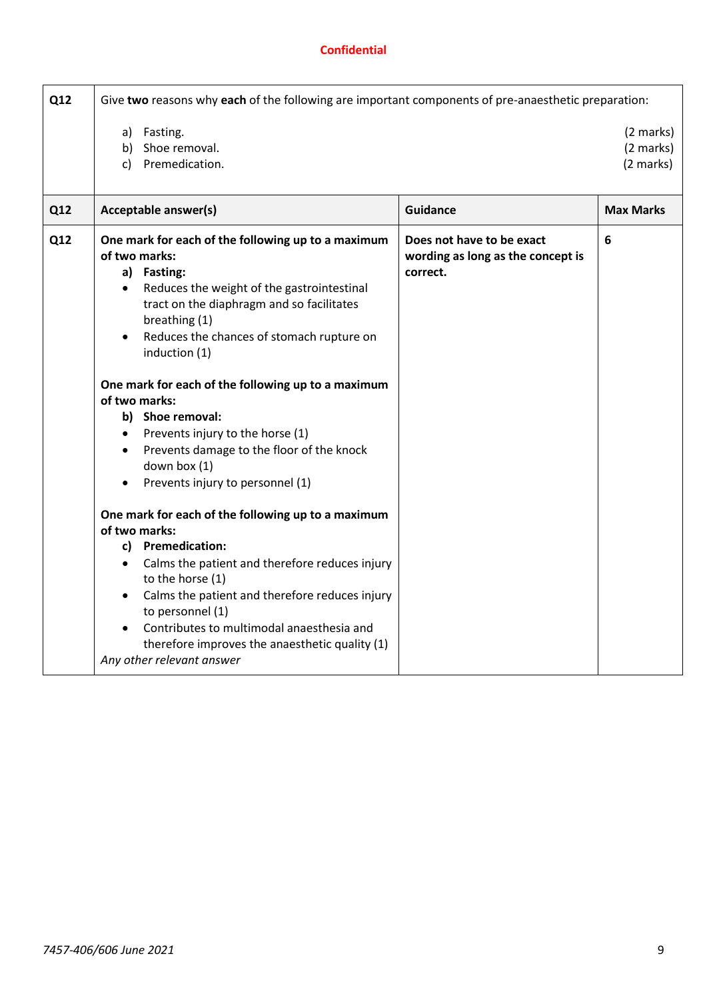| Q12 | Give two reasons why each of the following are important components of pre-anaesthetic preparation:                                                                                                                                                                                                                                                                                                                                                                                                                                                                          |                                                                            |                                     |
|-----|------------------------------------------------------------------------------------------------------------------------------------------------------------------------------------------------------------------------------------------------------------------------------------------------------------------------------------------------------------------------------------------------------------------------------------------------------------------------------------------------------------------------------------------------------------------------------|----------------------------------------------------------------------------|-------------------------------------|
|     | a) Fasting.<br>Shoe removal.<br>b)<br>Premedication.<br>c)                                                                                                                                                                                                                                                                                                                                                                                                                                                                                                                   |                                                                            | (2 marks)<br>(2 marks)<br>(2 marks) |
| Q12 | Acceptable answer(s)                                                                                                                                                                                                                                                                                                                                                                                                                                                                                                                                                         | <b>Guidance</b>                                                            | <b>Max Marks</b>                    |
| Q12 | One mark for each of the following up to a maximum<br>of two marks:<br>a) Fasting:<br>Reduces the weight of the gastrointestinal<br>$\bullet$<br>tract on the diaphragm and so facilitates<br>breathing (1)<br>Reduces the chances of stomach rupture on<br>induction (1)<br>One mark for each of the following up to a maximum<br>of two marks:<br>b) Shoe removal:<br>Prevents injury to the horse (1)<br>$\bullet$<br>Prevents damage to the floor of the knock<br>down box (1)<br>Prevents injury to personnel (1)<br>One mark for each of the following up to a maximum | Does not have to be exact<br>wording as long as the concept is<br>correct. | 6                                   |
|     | of two marks:                                                                                                                                                                                                                                                                                                                                                                                                                                                                                                                                                                |                                                                            |                                     |
|     | c) Premedication:<br>Calms the patient and therefore reduces injury<br>to the horse (1)<br>Calms the patient and therefore reduces injury<br>to personnel (1)<br>Contributes to multimodal anaesthesia and<br>therefore improves the anaesthetic quality (1)<br>Any other relevant answer                                                                                                                                                                                                                                                                                    |                                                                            |                                     |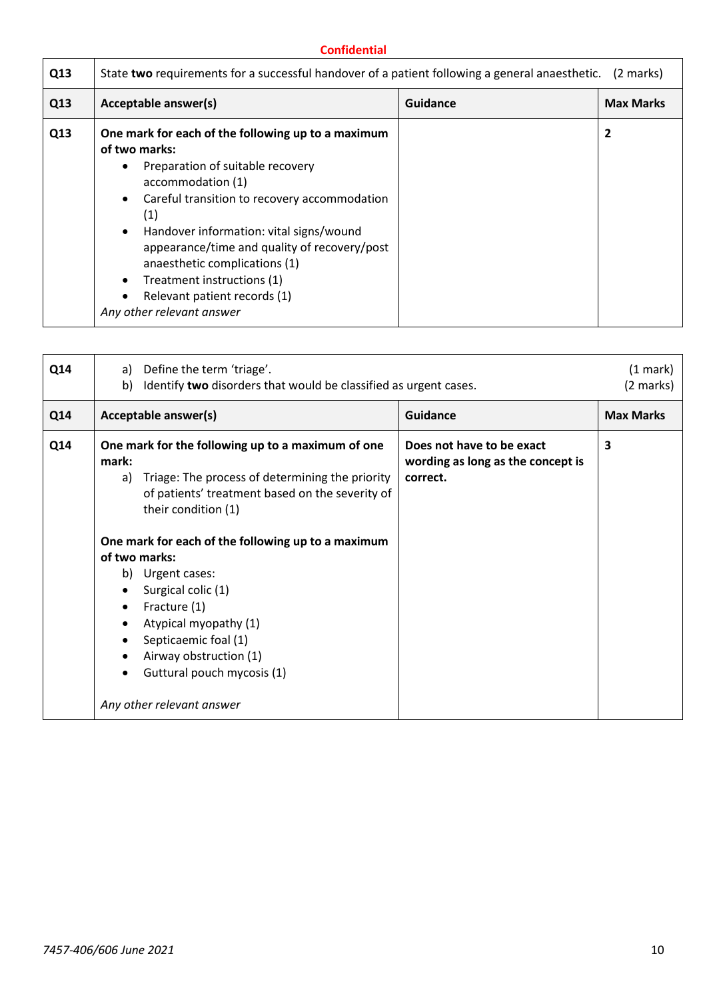| Q13 | State two requirements for a successful handover of a patient following a general anaesthetic. (2 marks)                                                                                                                                                                                                                                                                                                                                                    |          |                  |
|-----|-------------------------------------------------------------------------------------------------------------------------------------------------------------------------------------------------------------------------------------------------------------------------------------------------------------------------------------------------------------------------------------------------------------------------------------------------------------|----------|------------------|
| Q13 | Acceptable answer(s)                                                                                                                                                                                                                                                                                                                                                                                                                                        | Guidance | <b>Max Marks</b> |
| Q13 | One mark for each of the following up to a maximum<br>of two marks:<br>Preparation of suitable recovery<br>٠<br>accommodation (1)<br>Careful transition to recovery accommodation<br>$\bullet$<br>(1)<br>Handover information: vital signs/wound<br>$\bullet$<br>appearance/time and quality of recovery/post<br>anaesthetic complications (1)<br>Treatment instructions (1)<br>٠<br>Relevant patient records (1)<br>$\bullet$<br>Any other relevant answer |          | 2                |

| Q14 | Define the term 'triage'.<br>a)<br>Identify two disorders that would be classified as urgent cases.<br>b)                                                                                                                                                                                                                                                                                                                                                                         |                                                                            | (1 mark)<br>(2 marks) |
|-----|-----------------------------------------------------------------------------------------------------------------------------------------------------------------------------------------------------------------------------------------------------------------------------------------------------------------------------------------------------------------------------------------------------------------------------------------------------------------------------------|----------------------------------------------------------------------------|-----------------------|
| Q14 | Acceptable answer(s)                                                                                                                                                                                                                                                                                                                                                                                                                                                              | Guidance                                                                   | <b>Max Marks</b>      |
| Q14 | One mark for the following up to a maximum of one<br>mark:<br>Triage: The process of determining the priority<br>a)<br>of patients' treatment based on the severity of<br>their condition (1)<br>One mark for each of the following up to a maximum<br>of two marks:<br>b) Urgent cases:<br>Surgical colic (1)<br>Fracture (1)<br>Atypical myopathy (1)<br>$\bullet$<br>Septicaemic foal (1)<br>Airway obstruction (1)<br>Guttural pouch mycosis (1)<br>Any other relevant answer | Does not have to be exact<br>wording as long as the concept is<br>correct. | 3                     |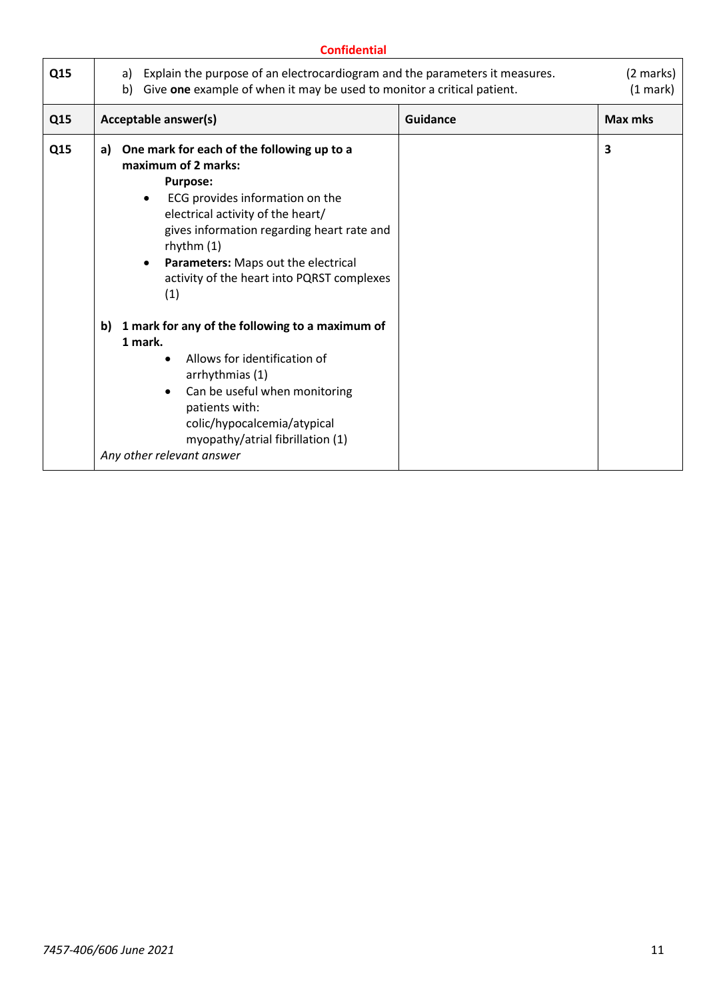| Q15 | Explain the purpose of an electrocardiogram and the parameters it measures.<br>a)<br>Give one example of when it may be used to monitor a critical patient.<br>b)                                                                                                                                                                                                                                                                                                                                                                                                                                                   |                 | (2 marks)<br>(1 mark) |
|-----|---------------------------------------------------------------------------------------------------------------------------------------------------------------------------------------------------------------------------------------------------------------------------------------------------------------------------------------------------------------------------------------------------------------------------------------------------------------------------------------------------------------------------------------------------------------------------------------------------------------------|-----------------|-----------------------|
| Q15 | <b>Acceptable answer(s)</b>                                                                                                                                                                                                                                                                                                                                                                                                                                                                                                                                                                                         | <b>Guidance</b> | Max mks               |
| Q15 | One mark for each of the following up to a<br>a)<br>maximum of 2 marks:<br><b>Purpose:</b><br>ECG provides information on the<br>electrical activity of the heart/<br>gives information regarding heart rate and<br>rhythm $(1)$<br>Parameters: Maps out the electrical<br>activity of the heart into PQRST complexes<br>(1)<br>1 mark for any of the following to a maximum of<br>b)<br>1 mark.<br>Allows for identification of<br>arrhythmias (1)<br>Can be useful when monitoring<br>$\bullet$<br>patients with:<br>colic/hypocalcemia/atypical<br>myopathy/atrial fibrillation (1)<br>Any other relevant answer |                 | 3                     |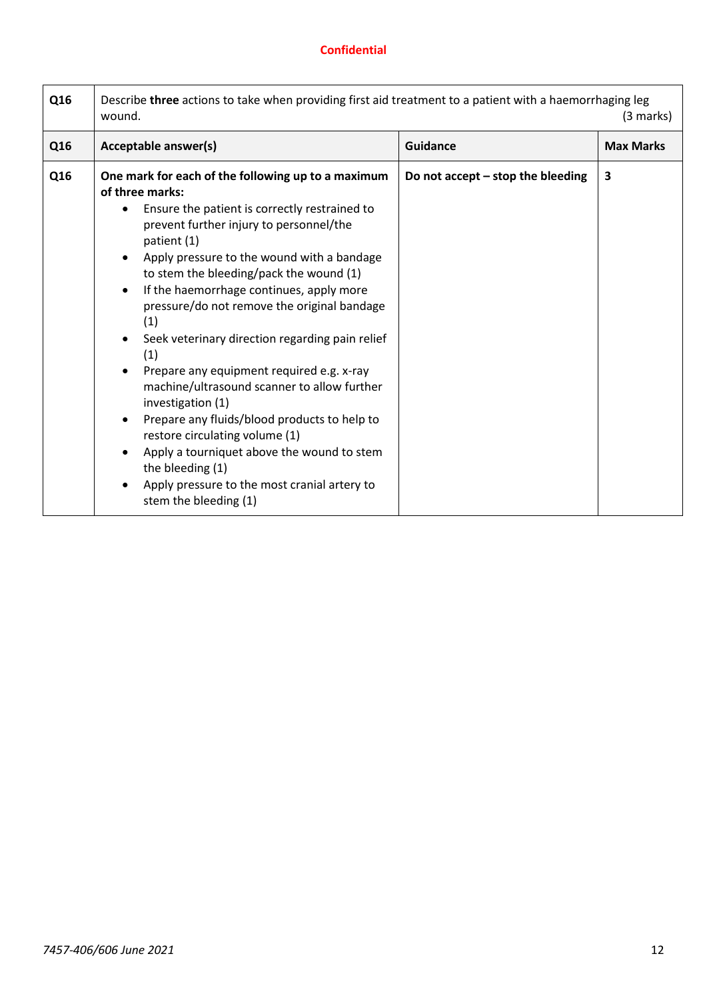| Q16 | Describe three actions to take when providing first aid treatment to a patient with a haemorrhaging leg<br>wound.                                                                                                                                                                                                                                                                                                                                                                                                                                                                                                                                                                                                                                                                                                                                                 |                                     |                  |
|-----|-------------------------------------------------------------------------------------------------------------------------------------------------------------------------------------------------------------------------------------------------------------------------------------------------------------------------------------------------------------------------------------------------------------------------------------------------------------------------------------------------------------------------------------------------------------------------------------------------------------------------------------------------------------------------------------------------------------------------------------------------------------------------------------------------------------------------------------------------------------------|-------------------------------------|------------------|
| Q16 | Acceptable answer(s)                                                                                                                                                                                                                                                                                                                                                                                                                                                                                                                                                                                                                                                                                                                                                                                                                                              | <b>Guidance</b>                     | <b>Max Marks</b> |
| Q16 | One mark for each of the following up to a maximum<br>of three marks:<br>Ensure the patient is correctly restrained to<br>prevent further injury to personnel/the<br>patient (1)<br>Apply pressure to the wound with a bandage<br>$\bullet$<br>to stem the bleeding/pack the wound (1)<br>If the haemorrhage continues, apply more<br>$\bullet$<br>pressure/do not remove the original bandage<br>(1)<br>Seek veterinary direction regarding pain relief<br>$\bullet$<br>(1)<br>Prepare any equipment required e.g. x-ray<br>$\bullet$<br>machine/ultrasound scanner to allow further<br>investigation (1)<br>Prepare any fluids/blood products to help to<br>$\bullet$<br>restore circulating volume (1)<br>Apply a tourniquet above the wound to stem<br>the bleeding (1)<br>Apply pressure to the most cranial artery to<br>$\bullet$<br>stem the bleeding (1) | Do not accept $-$ stop the bleeding | 3                |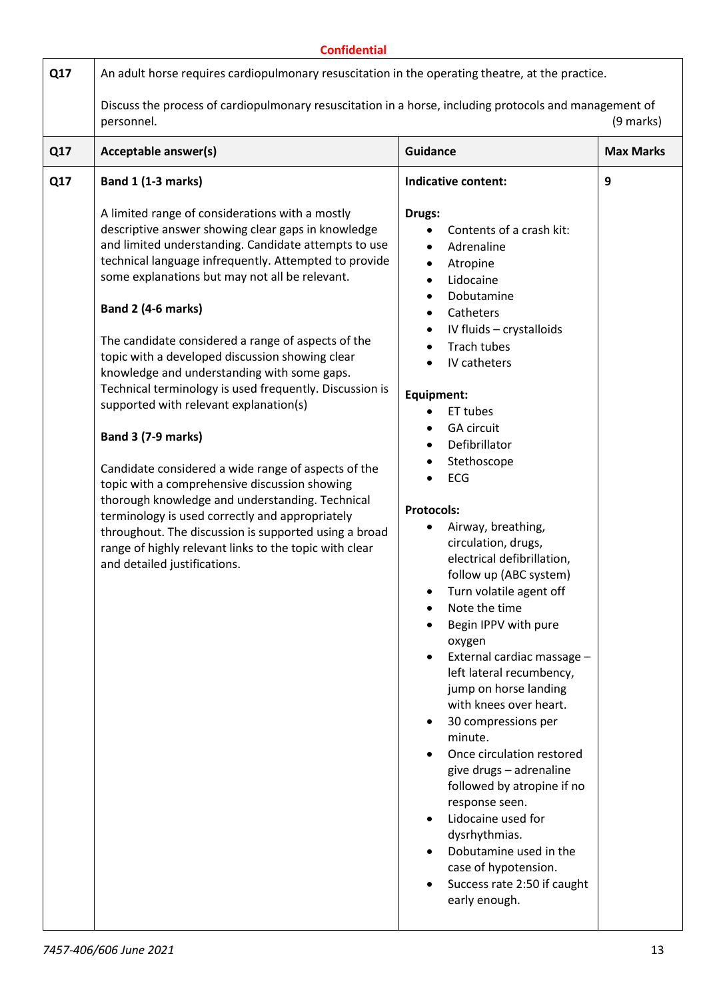|     | <b>Confidential</b>                                                                                                                                                                                                                                                                                                                                                                                                                                                                                                                                                                                                                                                                                                                                                                                                                 |                                                                                                                                                                                                                                                                                                                                                                                                                                                                                                                                                                                                                            |                  |
|-----|-------------------------------------------------------------------------------------------------------------------------------------------------------------------------------------------------------------------------------------------------------------------------------------------------------------------------------------------------------------------------------------------------------------------------------------------------------------------------------------------------------------------------------------------------------------------------------------------------------------------------------------------------------------------------------------------------------------------------------------------------------------------------------------------------------------------------------------|----------------------------------------------------------------------------------------------------------------------------------------------------------------------------------------------------------------------------------------------------------------------------------------------------------------------------------------------------------------------------------------------------------------------------------------------------------------------------------------------------------------------------------------------------------------------------------------------------------------------------|------------------|
| Q17 | An adult horse requires cardiopulmonary resuscitation in the operating theatre, at the practice.                                                                                                                                                                                                                                                                                                                                                                                                                                                                                                                                                                                                                                                                                                                                    |                                                                                                                                                                                                                                                                                                                                                                                                                                                                                                                                                                                                                            |                  |
|     | Discuss the process of cardiopulmonary resuscitation in a horse, including protocols and management of<br>personnel.<br>(9 marks)                                                                                                                                                                                                                                                                                                                                                                                                                                                                                                                                                                                                                                                                                                   |                                                                                                                                                                                                                                                                                                                                                                                                                                                                                                                                                                                                                            |                  |
| Q17 | Acceptable answer(s)                                                                                                                                                                                                                                                                                                                                                                                                                                                                                                                                                                                                                                                                                                                                                                                                                | <b>Guidance</b>                                                                                                                                                                                                                                                                                                                                                                                                                                                                                                                                                                                                            | <b>Max Marks</b> |
| Q17 | <b>Band 1 (1-3 marks)</b><br>A limited range of considerations with a mostly<br>descriptive answer showing clear gaps in knowledge<br>and limited understanding. Candidate attempts to use<br>technical language infrequently. Attempted to provide<br>some explanations but may not all be relevant.<br>Band 2 (4-6 marks)<br>The candidate considered a range of aspects of the<br>topic with a developed discussion showing clear<br>knowledge and understanding with some gaps.<br>Technical terminology is used frequently. Discussion is<br>supported with relevant explanation(s)<br><b>Band 3 (7-9 marks)</b><br>Candidate considered a wide range of aspects of the<br>topic with a comprehensive discussion showing<br>thorough knowledge and understanding. Technical<br>terminology is used correctly and appropriately | Indicative content:<br>Drugs:<br>Contents of a crash kit:<br>$\bullet$<br>Adrenaline<br>$\bullet$<br>Atropine<br>$\bullet$<br>Lidocaine<br>$\bullet$<br>Dobutamine<br>$\bullet$<br>Catheters<br>$\bullet$<br>IV fluids - crystalloids<br>$\bullet$<br><b>Trach tubes</b><br>IV catheters<br>Equipment:<br>ET tubes<br><b>GA circuit</b><br>$\bullet$<br>Defibrillator<br>Stethoscope<br>ECG<br><b>Protocols:</b><br>Airway, breathing,                                                                                                                                                                                     | 9                |
|     | throughout. The discussion is supported using a broad<br>range of highly relevant links to the topic with clear<br>and detailed justifications.                                                                                                                                                                                                                                                                                                                                                                                                                                                                                                                                                                                                                                                                                     | circulation, drugs,<br>electrical defibrillation,<br>follow up (ABC system)<br>Turn volatile agent off<br>Note the time<br>$\bullet$<br>Begin IPPV with pure<br>oxygen<br>External cardiac massage -<br>$\bullet$<br>left lateral recumbency,<br>jump on horse landing<br>with knees over heart.<br>30 compressions per<br>$\bullet$<br>minute.<br>Once circulation restored<br>give drugs - adrenaline<br>followed by atropine if no<br>response seen.<br>Lidocaine used for<br>$\bullet$<br>dysrhythmias.<br>Dobutamine used in the<br>case of hypotension.<br>Success rate 2:50 if caught<br>$\bullet$<br>early enough. |                  |